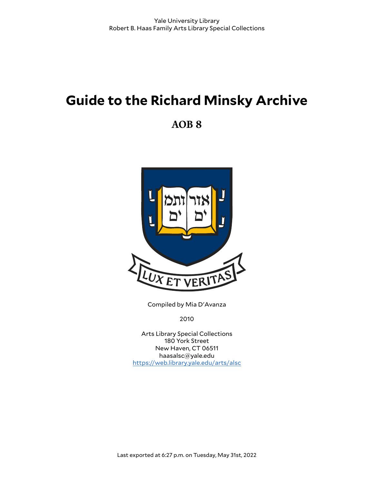# **Guide to the Richard Minsky Archive**

**AOB 8**



Compiled by Mia D'Avanza

2010

Arts Library Special Collections 180 York Street New Haven, CT 06511 haasalsc@yale.edu <https://web.library.yale.edu/arts/alsc>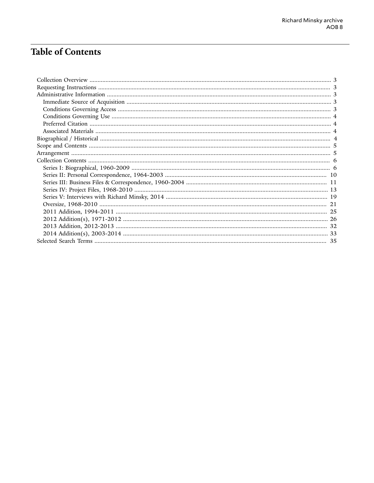# **Table of Contents**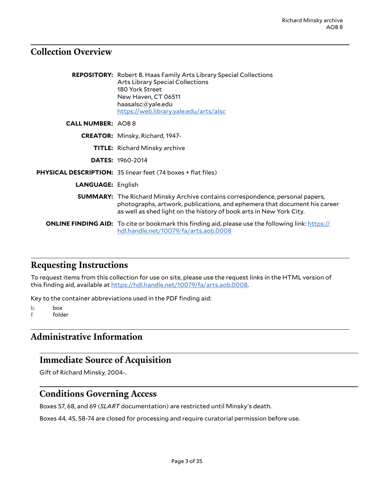### <span id="page-2-0"></span>**Collection Overview**

|                          | <b>REPOSITORY:</b> Robert B. Haas Family Arts Library Special Collections<br><b>Arts Library Special Collections</b><br>180 York Street<br>New Haven, CT 06511<br>haasalsc@yale.edu<br>https://web.library.yale.edu/arts/alsc            |
|--------------------------|------------------------------------------------------------------------------------------------------------------------------------------------------------------------------------------------------------------------------------------|
| <b>CALL NUMBER: AOB8</b> |                                                                                                                                                                                                                                          |
|                          | <b>CREATOR:</b> Minsky, Richard, 1947-                                                                                                                                                                                                   |
|                          | <b>TITLE:</b> Richard Minsky archive                                                                                                                                                                                                     |
|                          | <b>DATES: 1960-2014</b>                                                                                                                                                                                                                  |
|                          | PHYSICAL DESCRIPTION: 35 linear feet (74 boxes + flat files)                                                                                                                                                                             |
| <b>LANGUAGE: English</b> |                                                                                                                                                                                                                                          |
|                          | <b>SUMMARY:</b> The Richard Minsky Archive contains correspondence, personal papers,<br>photographs, artwork, publications, and ephemera that document his career<br>as well as shed light on the history of book arts in New York City. |
|                          | <b>ONLINE FINDING AID:</b> To cite or bookmark this finding aid, please use the following link: https://<br>hdl.handle.net/10079/fa/arts.aob.0008                                                                                        |

### <span id="page-2-1"></span>**Requesting Instructions**

To request items from this collection for use on site, please use the request links in the HTML version of this finding aid, available at [https://hdl.handle.net/10079/fa/arts.aob.0008.](https://hdl.handle.net/10079/fa/arts.aob.0008)

Key to the container abbreviations used in the PDF finding aid:

b. box f. folder

# <span id="page-2-2"></span>**Administrative Information**

### <span id="page-2-3"></span>**Immediate Source of Acquisition**

Gift of Richard Minsky, 2004-.

### <span id="page-2-4"></span>**Conditions Governing Access**

Boxes 57, 68, and 69 (*SLART* documentation) are restricted until Minsky's death.

Boxes 44, 45, 58-74 are closed for processing and require curatorial permission before use.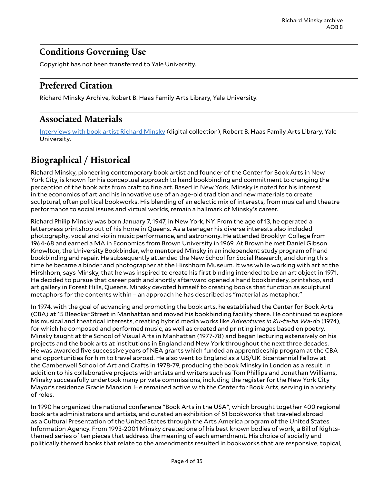# <span id="page-3-0"></span>**Conditions Governing Use**

Copyright has not been transferred to Yale University.

# <span id="page-3-1"></span>**Preferred Citation**

Richard Minsky Archive, Robert B. Haas Family Arts Library, Yale University.

## <span id="page-3-2"></span>**Associated Materials**

[Interviews](http://web.library.yale.edu/arts/special-collections/interviews-with-richard-minsky) with book artist Richard Minsky (digital collection), Robert B. Haas Family Arts Library, Yale University.

# <span id="page-3-3"></span>**Biographical / Historical**

Richard Minsky, pioneering contemporary book artist and founder of the Center for Book Arts in New York City, is known for his conceptual approach to hand bookbinding and commitment to changing the perception of the book arts from craft to fine art. Based in New York, Minsky is noted for his interest in the economics of art and his innovative use of an age-old tradition and new materials to create sculptural, often political bookworks. His blending of an eclectic mix of interests, from musical and theatre performance to social issues and virtual worlds, remain a hallmark of Minsky's career.

Richard Philip Minsky was born January 7, 1947, in New York, NY. From the age of 13, he operated a letterpress printshop out of his home in Queens. As a teenager his diverse interests also included photography, vocal and violin music performance, and astronomy. He attended Brooklyn College from 1964-68 and earned a MA in Economics from Brown University in 1969. At Brown he met Daniel Gibson Knowlton, the University Bookbinder, who mentored Minsky in an independent study program of hand bookbinding and repair. He subsequently attended the New School for Social Research, and during this time he became a binder and photographer at the Hirshhorn Museum. It was while working with art at the Hirshhorn, says Minsky, that he was inspired to create his first binding intended to be an art object in 1971. He decided to pursue that career path and shortly afterward opened a hand bookbindery, printshop, and art gallery in Forest Hills, Queens. Minsky devoted himself to creating books that function as sculptural metaphors for the contents within – an approach he has described as "material as metaphor."

In 1974, with the goal of advancing and promoting the book arts, he established the Center for Book Arts (CBA) at 15 Bleecker Street in Manhattan and moved his bookbinding facility there. He continued to explore his musical and theatrical interests, creating hybrid media works like *Adventures in Ku-ta-ba Wa-do* (1974), for which he composed and performed music, as well as created and printing images based on poetry. Minsky taught at the School of Visual Arts in Manhattan (1977-78) and began lecturing extensively on his projects and the book arts at institutions in England and New York throughout the next three decades. He was awarded five successive years of NEA grants which funded an apprenticeship program at the CBA and opportunities for him to travel abroad. He also went to England as a US/UK Bicentennial Fellow at the Camberwell School of Art and Crafts in 1978-79, producing the book Minsky in London as a result. In addition to his collaborative projects with artists and writers such as Tom Phillips and Jonathan Williams, Minsky successfully undertook many private commissions, including the register for the New York City Mayor's residence Gracie Mansion. He remained active with the Center for Book Arts, serving in a variety of roles.

In 1990 he organized the national conference "Book Arts in the USA", which brought together 400 regional book arts administrators and artists, and curated an exhibition of 51 bookworks that traveled abroad as a Cultural Presentation of the United States through the Arts America program of the United States Information Agency. From 1993-2001 Minsky created one of his best known bodies of work, a Bill of Rightsthemed series of ten pieces that address the meaning of each amendment. His choice of socially and politically themed books that relate to the amendments resulted in bookworks that are responsive, topical,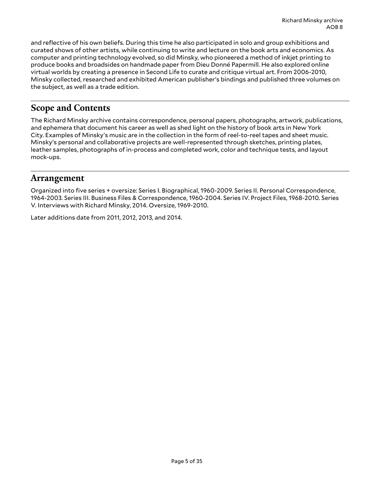and reflective of his own beliefs. During this time he also participated in solo and group exhibitions and curated shows of other artists, while continuing to write and lecture on the book arts and economics. As computer and printing technology evolved, so did Minsky, who pioneered a method of inkjet printing to produce books and broadsides on handmade paper from Dieu Donné Papermill. He also explored online virtual worlds by creating a presence in Second Life to curate and critique virtual art. From 2006-2010, Minsky collected, researched and exhibited American publisher's bindings and published three volumes on the subject, as well as a trade edition.

# <span id="page-4-0"></span>**Scope and Contents**

The Richard Minsky archive contains correspondence, personal papers, photographs, artwork, publications, and ephemera that document his career as well as shed light on the history of book arts in New York City. Examples of Minsky's music are in the collection in the form of reel-to-reel tapes and sheet music. Minsky's personal and collaborative projects are well-represented through sketches, printing plates, leather samples, photographs of in-process and completed work, color and technique tests, and layout mock-ups.

### <span id="page-4-1"></span>**Arrangement**

Organized into five series + oversize: Series I. Biographical, 1960-2009. Series II. Personal Correspondence, 1964-2003. Series III. Business Files & Correspondence, 1960-2004. Series IV. Project Files, 1968-2010. Series V. Interviews with Richard Minsky, 2014. Oversize, 1969-2010.

Later additions date from 2011, 2012, 2013, and 2014.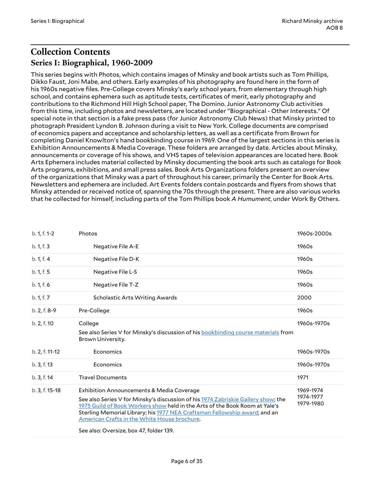# <span id="page-5-1"></span><span id="page-5-0"></span>**Collection Contents Series I: Biographical, 1960-2009**

This series begins with Photos, which contains images of Minsky and book artists such as Tom Phillips, Dikko Faust, Joni Mabe, and others. Early examples of his photography are found here in the form of his 1960s negative files. Pre-College covers Minsky's early school years, from elementary through high school, and contains ephemera such as aptitude tests, certificates of merit, early photography and contributions to the Richmond Hill High School paper, The Domino. Junior Astronomy Club activities from this time, including photos and newsletters, are located under "Biographical - Other Interests." Of special note in that section is a fake press pass (for Junior Astronomy Club News) that Minsky printed to photograph President Lyndon B. Johnson during a visit to New York. College documents are comprised of economics papers and acceptance and scholarship letters, as well as a certificate from Brown for completing Daniel Knowlton's hand bookbinding course in 1969. One of the largest sections in this series is Exhibition Announcements & Media Coverage. These folders are arranged by date. Articles about Minsky, announcements or coverage of his shows, and VHS tapes of television appearances are located here. Book Arts Ephemera includes material collected by Minsky documenting the book arts such as catalogs for Book Arts programs, exhibitions, and small press sales. Book Arts Organizations folders present an overview of the organizations that Minsky was a part of throughout his career, primarily the Center for Book Arts. Newsletters and ephemera are included. Art Events folders contain postcards and flyers from shows that Minsky attended or received notice of, spanning the 70s through the present. There are also various works that he collected for himself, including parts of the Tom Phillips book *A Humument*, under Work By Others.

| b. 1, f. 1-2   | Photos                                                                                                                                                                                                                                                                                                                                                                                            | 1960s-2000s                         |
|----------------|---------------------------------------------------------------------------------------------------------------------------------------------------------------------------------------------------------------------------------------------------------------------------------------------------------------------------------------------------------------------------------------------------|-------------------------------------|
| b. 1, f. 3     | Negative File A-E                                                                                                                                                                                                                                                                                                                                                                                 | 1960s                               |
| b. 1, f. 4     | Negative File D-K                                                                                                                                                                                                                                                                                                                                                                                 | 1960s                               |
| b. 1, f. 5     | Negative File L-S                                                                                                                                                                                                                                                                                                                                                                                 | 1960s                               |
| b. 1, f. 6     | Negative File T-Z                                                                                                                                                                                                                                                                                                                                                                                 | 1960s                               |
| b. 1, f. 7     | Scholastic Arts Writing Awards                                                                                                                                                                                                                                                                                                                                                                    | 2000                                |
| b. 2, f. 8-9   | Pre-College                                                                                                                                                                                                                                                                                                                                                                                       | 1960s                               |
| b. 2, f. 10    | College<br>See also Series V for Minsky's discussion of his bookbinding course materials from<br>Brown University.                                                                                                                                                                                                                                                                                | 1960s-1970s                         |
| b. 2, f. 11-12 | Economics                                                                                                                                                                                                                                                                                                                                                                                         | 1960s-1970s                         |
| b. 3, f. 13    | Economics                                                                                                                                                                                                                                                                                                                                                                                         | 1960s-1970s                         |
| b. 3, f. 14    | <b>Travel Documents</b>                                                                                                                                                                                                                                                                                                                                                                           | 1971                                |
| b. 3, f. 15-18 | <b>Exhibition Announcements &amp; Media Coverage</b><br>See also Series V for Minsky's discussion of his 1974 Zabriskie Gallery show; the<br>1975 Guild of Book Workers show held in the Arts of the Book Room at Yale's<br>Sterling Memorial Library; his 1977 NEA Craftsman Fellowship award; and an<br>American Crafts in the White House brochure.<br>See also: Oversize, box 47, folder 139. | 1969-1974<br>1974-1977<br>1979-1980 |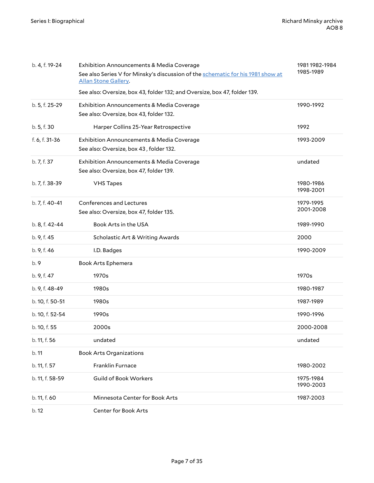| b. 4, f. 19-24  | <b>Exhibition Announcements &amp; Media Coverage</b><br>See also Series V for Minsky's discussion of the schematic for his 1981 show at<br>Allan Stone Gallery. | 1981 1982-1984<br>1985-1989 |
|-----------------|-----------------------------------------------------------------------------------------------------------------------------------------------------------------|-----------------------------|
| b. 5, f. 25-29  | See also: Oversize, box 43, folder 132; and Oversize, box 47, folder 139.<br>Exhibition Announcements & Media Coverage                                          | 1990-1992                   |
|                 | See also: Oversize, box 43, folder 132.                                                                                                                         |                             |
| b. 5, f. 30     | Harper Collins 25-Year Retrospective                                                                                                                            | 1992                        |
| f. 6, f. 31-36  | Exhibition Announcements & Media Coverage<br>See also: Oversize, box 43, folder 132.                                                                            | 1993-2009                   |
| b. 7, f. 37     | Exhibition Announcements & Media Coverage<br>See also: Oversize, box 47, folder 139.                                                                            | undated                     |
| b. 7, f. 38-39  | <b>VHS Tapes</b>                                                                                                                                                | 1980-1986<br>1998-2001      |
| b. 7, f. 40-41  | <b>Conferences and Lectures</b><br>See also: Oversize, box 47, folder 135.                                                                                      | 1979-1995<br>2001-2008      |
| b. 8, f. 42-44  | Book Arts in the USA                                                                                                                                            | 1989-1990                   |
| b. 9, f. 45     | Scholastic Art & Writing Awards                                                                                                                                 | 2000                        |
| b. 9, f. 46     | I.D. Badges                                                                                                                                                     | 1990-2009                   |
| b.9             | <b>Book Arts Ephemera</b>                                                                                                                                       |                             |
| b. 9, f. 47     | 1970s                                                                                                                                                           | 1970s                       |
| b. 9, f. 48-49  | 1980s                                                                                                                                                           | 1980-1987                   |
| b. 10, f. 50-51 | 1980s                                                                                                                                                           | 1987-1989                   |
| b. 10, f. 52-54 | 1990s                                                                                                                                                           | 1990-1996                   |
| b. 10, f. 55    | 2000s                                                                                                                                                           | 2000-2008                   |
| b. 11, f. 56    | undated                                                                                                                                                         | undated                     |
| b.11            | <b>Book Arts Organizations</b>                                                                                                                                  |                             |
| b. 11, f. 57    | Franklin Furnace                                                                                                                                                | 1980-2002                   |
| b. 11, f. 58-59 | <b>Guild of Book Workers</b>                                                                                                                                    | 1975-1984<br>1990-2003      |
| b. 11, f. 60    | Minnesota Center for Book Arts                                                                                                                                  | 1987-2003                   |
| b. 12           | Center for Book Arts                                                                                                                                            |                             |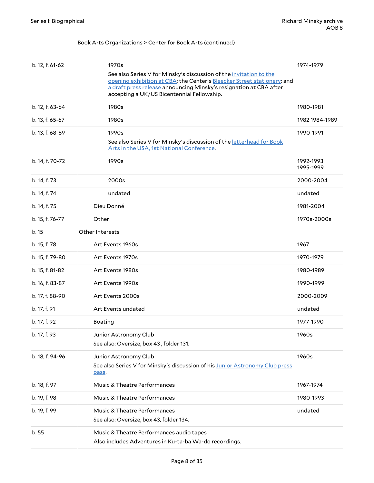#### Book Arts Organizations > Center for Book Arts (continued)

| b. 12, f. 61-62 | 1970s<br>See also Series V for Minsky's discussion of the invitation to the                                                                                                                 | 1974-1979              |
|-----------------|---------------------------------------------------------------------------------------------------------------------------------------------------------------------------------------------|------------------------|
|                 | opening exhibition at CBA; the Center's Bleecker Street stationery; and<br>a draft press release announcing Minsky's resignation at CBA after<br>accepting a UK/US Bicentennial Fellowship. |                        |
| b. 12, f. 63-64 | 1980s                                                                                                                                                                                       | 1980-1981              |
| b. 13, f. 65-67 | 1980s                                                                                                                                                                                       | 1982 1984-1989         |
| b. 13, f. 68-69 | 1990s                                                                                                                                                                                       | 1990-1991              |
|                 | See also Series V for Minsky's discussion of the letterhead for Book<br>Arts in the USA, 1st National Conference.                                                                           |                        |
| b. 14, f. 70-72 | 1990s                                                                                                                                                                                       | 1992-1993<br>1995-1999 |
| b. 14, f. 73    | 2000s                                                                                                                                                                                       | 2000-2004              |
| b. 14, f. 74    | undated                                                                                                                                                                                     | undated                |
| b. 14, f. 75    | Dieu Donné                                                                                                                                                                                  | 1981-2004              |
| b. 15, f. 76-77 | Other                                                                                                                                                                                       | 1970s-2000s            |
| b. 15           | Other Interests                                                                                                                                                                             |                        |
| b. 15, f. 78    | Art Events 1960s                                                                                                                                                                            | 1967                   |
| b. 15, f. 79-80 | Art Events 1970s                                                                                                                                                                            | 1970-1979              |
| b. 15, f. 81-82 | Art Events 1980s                                                                                                                                                                            | 1980-1989              |
| b. 16, f. 83-87 | Art Events 1990s                                                                                                                                                                            | 1990-1999              |
| b. 17, f. 88-90 | Art Events 2000s                                                                                                                                                                            | 2000-2009              |
| b. 17, f. 91    | Art Events undated                                                                                                                                                                          | undated                |
| b. 17, f. 92    | Boating                                                                                                                                                                                     | 1977-1990              |
| b. 17, f. 93    | Junior Astronomy Club<br>See also: Oversize, box 43, folder 131.                                                                                                                            | 1960s                  |
| b. 18, f. 94-96 | Junior Astronomy Club<br>See also Series V for Minsky's discussion of his Junior Astronomy Club press<br>pass.                                                                              | 1960s                  |
| b. 18, f. 97    | Music & Theatre Performances                                                                                                                                                                | 1967-1974              |
| b. 19, f. 98    | Music & Theatre Performances                                                                                                                                                                | 1980-1993              |
| b. 19, f. 99    | Music & Theatre Performances                                                                                                                                                                | undated                |
|                 | See also: Oversize, box 43, folder 134.                                                                                                                                                     |                        |
| b.55            | Music & Theatre Performances audio tapes<br>Also includes Adventures in Ku-ta-ba Wa-do recordings.                                                                                          |                        |
|                 |                                                                                                                                                                                             |                        |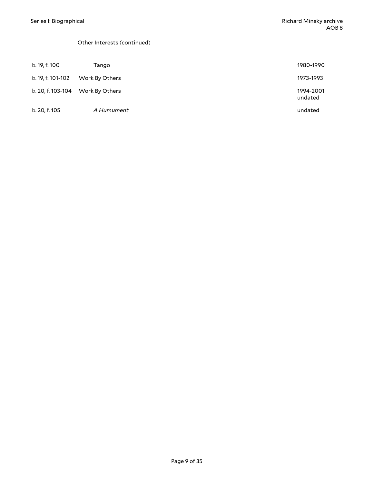#### Other Interests (continued)

| b. 19, f. 100     | Tango                            | 1980-1990            |
|-------------------|----------------------------------|----------------------|
| b. 19, f. 101-102 | Work By Others                   | 1973-1993            |
|                   | b. 20, f. 103-104 Work By Others | 1994-2001<br>undated |
| b. 20, f. 105     | A Humument                       | undated              |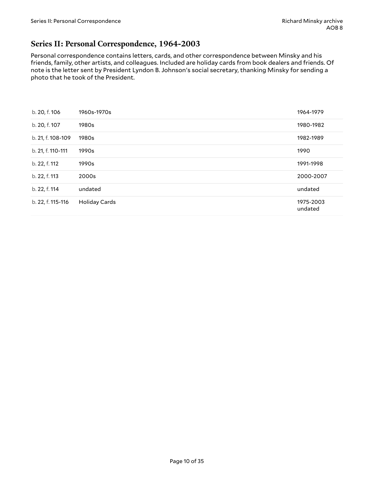### <span id="page-9-0"></span>**Series II: Personal Correspondence, 1964-2003**

Personal correspondence contains letters, cards, and other correspondence between Minsky and his friends, family, other artists, and colleagues. Included are holiday cards from book dealers and friends. Of note is the letter sent by President Lyndon B. Johnson's social secretary, thanking Minsky for sending a photo that he took of the President.

| b. 20, f. 106     | 1960s-1970s          | 1964-1979            |
|-------------------|----------------------|----------------------|
| b. 20, f. 107     | 1980s                | 1980-1982            |
| b. 21, f. 108-109 | 1980s                | 1982-1989            |
| b. 21, f. 110-111 | 1990s                | 1990                 |
| b. 22, f. 112     | 1990s                | 1991-1998            |
| b. 22, f. 113     | 2000s                | 2000-2007            |
| b. 22, f. 114     | undated              | undated              |
| b. 22, f. 115-116 | <b>Holiday Cards</b> | 1975-2003<br>undated |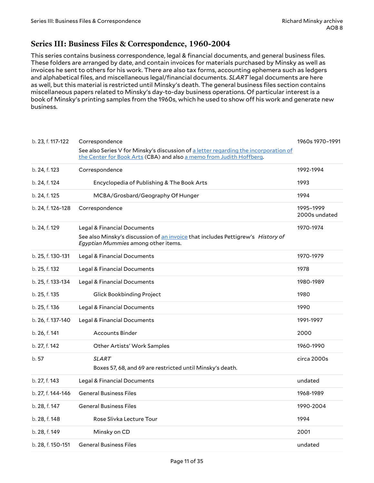### <span id="page-10-0"></span>**Series III: Business Files & Correspondence, 1960-2004**

This series contains business correspondence, legal & financial documents, and general business files. These folders are arranged by date, and contain invoices for materials purchased by Minsky as well as invoices he sent to others for his work. There are also tax forms, accounting ephemera such as ledgers and alphabetical files, and miscellaneous legal/financial documents. *SLART* legal documents are here as well, but this material is restricted until Minsky's death. The general business files section contains miscellaneous papers related to Minsky's day-to-day business operations. Of particular interest is a book of Minsky's printing samples from the 1960s, which he used to show off his work and generate new business.

| b. 23, f. 117-122 | Correspondence                                                                                                                                               | 1960s 1970-1991            |
|-------------------|--------------------------------------------------------------------------------------------------------------------------------------------------------------|----------------------------|
|                   | See also Series V for Minsky's discussion of a letter regarding the incorporation of<br>the Center for Book Arts (CBA) and also a memo from Judith Hoffberg. |                            |
| b. 24, f. 123     | Correspondence                                                                                                                                               | 1992-1994                  |
| b. 24, f. 124     | Encyclopedia of Publishing & The Book Arts                                                                                                                   | 1993                       |
| b. 24, f. 125     | MCBA/Grosbard/Geography Of Hunger                                                                                                                            | 1994                       |
| b. 24, f. 126-128 | Correspondence                                                                                                                                               | 1995-1999<br>2000s undated |
| b. 24, f. 129     | Legal & Financial Documents                                                                                                                                  | 1970-1974                  |
|                   | See also Minsky's discussion of an invoice that includes Pettigrew's History of<br>Egyptian Mummies among other items.                                       |                            |
| b. 25, f. 130-131 | Legal & Financial Documents                                                                                                                                  | 1970-1979                  |
| b. 25, f. 132     | Legal & Financial Documents                                                                                                                                  | 1978                       |
| b. 25, f. 133-134 | Legal & Financial Documents                                                                                                                                  | 1980-1989                  |
| b. 25, f. 135     | <b>Glick Bookbinding Project</b>                                                                                                                             | 1980                       |
| b. 25, f. 136     | Legal & Financial Documents                                                                                                                                  | 1990                       |
| b. 26, f. 137-140 | Legal & Financial Documents                                                                                                                                  | 1991-1997                  |
| b. 26, f. 141     | <b>Accounts Binder</b>                                                                                                                                       | 2000                       |
| b. 27, f. 142     | <b>Other Artists' Work Samples</b>                                                                                                                           | 1960-1990                  |
| b. 57             | <b>SLART</b>                                                                                                                                                 | circa 2000s                |
|                   | Boxes 57, 68, and 69 are restricted until Minsky's death.                                                                                                    |                            |
| b. 27, f. 143     | Legal & Financial Documents                                                                                                                                  | undated                    |
| b. 27, f. 144-146 | <b>General Business Files</b>                                                                                                                                | 1968-1989                  |
| b. 28, f. 147     | <b>General Business Files</b>                                                                                                                                | 1990-2004                  |
| b. 28, f. 148     | Rose Slivka Lecture Tour                                                                                                                                     | 1994                       |
| b. 28, f. 149     | Minsky on CD                                                                                                                                                 | 2001                       |
| b. 28, f. 150-151 | <b>General Business Files</b>                                                                                                                                | undated                    |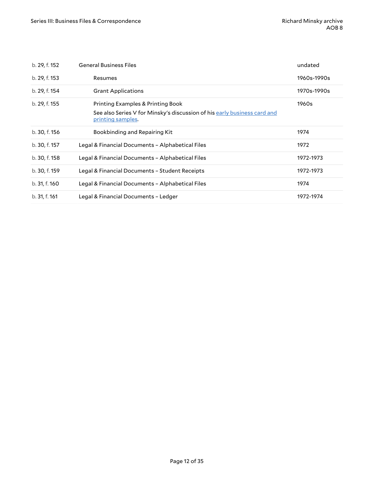| b. 29, f. 152 | <b>General Business Files</b>                                                                 | undated     |
|---------------|-----------------------------------------------------------------------------------------------|-------------|
| b. 29, f. 153 | Resumes                                                                                       | 1960s-1990s |
| b. 29, f. 154 | <b>Grant Applications</b>                                                                     | 1970s-1990s |
| b. 29, f. 155 | Printing Examples & Printing Book                                                             | 1960s       |
|               | See also Series V for Minsky's discussion of his early business card and<br>printing samples. |             |
| b. 30, f. 156 | Bookbinding and Repairing Kit                                                                 | 1974        |
| b. 30, f. 157 | Legal & Financial Documents - Alphabetical Files                                              | 1972        |
| b. 30, f. 158 | Legal & Financial Documents - Alphabetical Files                                              | 1972-1973   |
| b. 30, f. 159 | Legal & Financial Documents - Student Receipts                                                | 1972-1973   |
| b. 31, f. 160 | Legal & Financial Documents - Alphabetical Files                                              | 1974        |
| b. 31, f. 161 | Legal & Financial Documents - Ledger                                                          | 1972-1974   |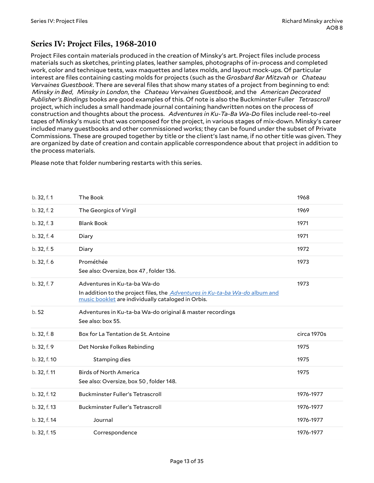### <span id="page-12-0"></span>**Series IV: Project Files, 1968-2010**

Project Files contain materials produced in the creation of Minsky's art. Project files include process materials such as sketches, printing plates, leather samples, photographs of in-process and completed work, color and technique tests, wax maquettes and latex molds, and layout mock-ups. Of particular interest are files containing casting molds for projects (such as the *Grosbard Bar Mitzvah* or *Chateau Vervaines Guestbook*. There are several files that show many states of a project from beginning to end: *Minsky in Bed*, *Minsky in London*, the *Chateau Vervaines Guestbook*, and the *American Decorated Publisher's Bindings* books are good examples of this. Of note is also the Buckminster Fuller *Tetrascroll* project, which includes a small handmade journal containing handwritten notes on the process of construction and thoughts about the process. *Adventures in Ku-Ta-Ba Wa-Do* files include reel-to-reel tapes of Minsky's music that was composed for the project, in various stages of mix-down. Minsky's career included many guestbooks and other commissioned works; they can be found under the subset of Private Commissions. These are grouped together by title or the client's last name, if no other title was given. They are organized by date of creation and contain applicable correspondence about that project in addition to the process materials.

Please note that folder numbering restarts with this series.

| b. 32, f. 1  | The Book                                                                                                                                                           | 1968        |
|--------------|--------------------------------------------------------------------------------------------------------------------------------------------------------------------|-------------|
| b. 32, f. 2  | The Georgics of Virgil                                                                                                                                             | 1969        |
| b. 32, f. 3  | <b>Blank Book</b>                                                                                                                                                  | 1971        |
| b. 32, f. 4  | Diary                                                                                                                                                              | 1971        |
| b. 32, f. 5  | Diary                                                                                                                                                              | 1972        |
| b. 32, f. 6  | Prométhée<br>See also: Oversize, box 47, folder 136.                                                                                                               | 1973        |
| b. 32, f. 7  | Adventures in Ku-ta-ba Wa-do<br>In addition to the project files, the Adventures in Ku-ta-ba Wa-do album and<br>music booklet are individually cataloged in Orbis. | 1973        |
| b.52         | Adventures in Ku-ta-ba Wa-do original & master recordings<br>See also: box 55.                                                                                     |             |
| b. 32, f. 8  | Box for La Tentation de St. Antoine                                                                                                                                | circa 1970s |
| b. 32, f. 9  | Det Norske Folkes Rebinding                                                                                                                                        | 1975        |
|              |                                                                                                                                                                    |             |
| b. 32, f. 10 | Stamping dies                                                                                                                                                      | 1975        |
| b. 32, f. 11 | <b>Birds of North America</b><br>See also: Oversize, box 50, folder 148.                                                                                           | 1975        |
| b. 32, f. 12 | <b>Buckminster Fuller's Tetrascroll</b>                                                                                                                            | 1976-1977   |
| b. 32, f. 13 | <b>Buckminster Fuller's Tetrascroll</b>                                                                                                                            | 1976-1977   |
| b. 32, f. 14 | Journal                                                                                                                                                            | 1976-1977   |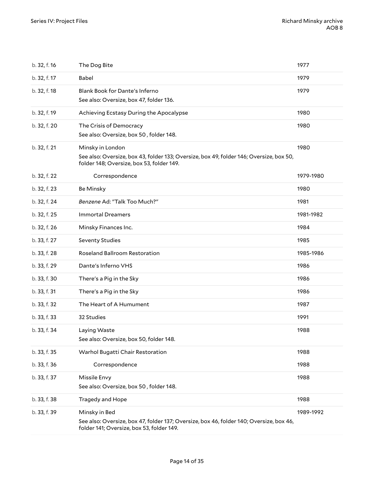| b. 32, f. 16 | The Dog Bite                                                                                                                                             | 1977      |
|--------------|----------------------------------------------------------------------------------------------------------------------------------------------------------|-----------|
| b. 32, f. 17 | Babel                                                                                                                                                    | 1979      |
| b. 32, f. 18 | Blank Book for Dante's Inferno<br>See also: Oversize, box 47, folder 136.                                                                                | 1979      |
| b. 32, f. 19 | Achieving Ecstasy During the Apocalypse                                                                                                                  | 1980      |
| b. 32, f. 20 | The Crisis of Democracy<br>See also: Oversize, box 50, folder 148.                                                                                       | 1980      |
| b. 32, f. 21 | Minsky in London<br>See also: Oversize, box 43, folder 133; Oversize, box 49, folder 146; Oversize, box 50,<br>folder 148; Oversize, box 53, folder 149. | 1980      |
| b. 32, f. 22 | Correspondence                                                                                                                                           | 1979-1980 |
| b. 32, f. 23 | <b>Be Minsky</b>                                                                                                                                         | 1980      |
| b. 32, f. 24 | Benzene Ad: "Talk Too Much?"                                                                                                                             | 1981      |
| b. 32, f. 25 | <b>Immortal Dreamers</b>                                                                                                                                 | 1981-1982 |
| b. 32, f. 26 | Minsky Finances Inc.                                                                                                                                     | 1984      |
| b. 33, f. 27 | <b>Seventy Studies</b>                                                                                                                                   | 1985      |
| b. 33, f. 28 | Roseland Ballroom Restoration                                                                                                                            | 1985-1986 |
| b. 33, f. 29 | Dante's Inferno VHS                                                                                                                                      | 1986      |
| b. 33, f. 30 | There's a Pig in the Sky                                                                                                                                 | 1986      |
| b. 33, f. 31 | There's a Pig in the Sky                                                                                                                                 | 1986      |
| b. 33, f. 32 | The Heart of A Humument                                                                                                                                  | 1987      |
| b. 33, f. 33 | 32 Studies                                                                                                                                               | 1991      |
| b. 33, f. 34 | Laying Waste<br>See also: Oversize, box 50, folder 148.                                                                                                  | 1988      |
| b. 33, f. 35 | Warhol Bugatti Chair Restoration                                                                                                                         | 1988      |
| b. 33, f. 36 | Correspondence                                                                                                                                           | 1988      |
| b. 33, f. 37 | Missile Envy<br>See also: Oversize, box 50, folder 148.                                                                                                  | 1988      |
| b. 33, f. 38 | Tragedy and Hope                                                                                                                                         | 1988      |
| b. 33, f. 39 | Minsky in Bed<br>See also: Oversize, box 47, folder 137; Oversize, box 46, folder 140; Oversize, box 46,<br>folder 141; Oversize, box 53, folder 149.    | 1989-1992 |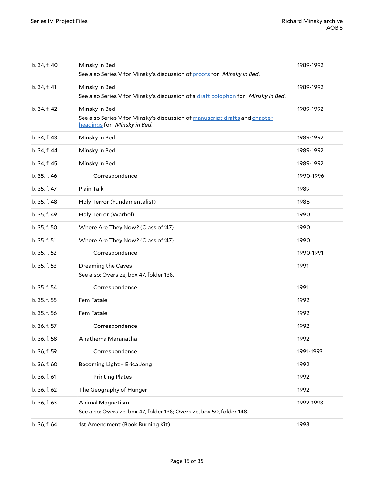| b. 34, f. 40 | Minsky in Bed<br>See also Series V for Minsky's discussion of proofs for Minsky in Bed.                                    | 1989-1992 |
|--------------|----------------------------------------------------------------------------------------------------------------------------|-----------|
| b. 34, f. 41 | Minsky in Bed<br>See also Series V for Minsky's discussion of a draft colophon for Minsky in Bed.                          | 1989-1992 |
| b. 34, f. 42 | Minsky in Bed<br>See also Series V for Minsky's discussion of manuscript drafts and chapter<br>headings for Minsky in Bed. | 1989-1992 |
| b. 34, f. 43 | Minsky in Bed                                                                                                              | 1989-1992 |
| b. 34, f. 44 | Minsky in Bed                                                                                                              | 1989-1992 |
| b. 34, f. 45 | Minsky in Bed                                                                                                              | 1989-1992 |
| b. 35, f. 46 | Correspondence                                                                                                             | 1990-1996 |
| b. 35, f. 47 | Plain Talk                                                                                                                 | 1989      |
| b. 35, f. 48 | Holy Terror (Fundamentalist)                                                                                               | 1988      |
| b. 35, f. 49 | Holy Terror (Warhol)                                                                                                       | 1990      |
| b. 35, f. 50 | Where Are They Now? (Class of '47)                                                                                         | 1990      |
| b. 35, f. 51 | Where Are They Now? (Class of '47)                                                                                         | 1990      |
| b. 35, f. 52 | Correspondence                                                                                                             | 1990-1991 |
| b. 35, f. 53 | Dreaming the Caves<br>See also: Oversize, box 47, folder 138.                                                              | 1991      |
| b. 35, f. 54 | Correspondence                                                                                                             | 1991      |
| b. 35, f. 55 | Fem Fatale                                                                                                                 | 1992      |
| b. 35, f. 56 | Fem Fatale                                                                                                                 | 1992      |
| b. 36, f. 57 | Correspondence                                                                                                             | 1992      |
| b. 36, f. 58 | Anathema Maranatha                                                                                                         | 1992      |
| b. 36, f. 59 | Correspondence                                                                                                             | 1991-1993 |
| b. 36, f. 60 | Becoming Light - Erica Jong                                                                                                | 1992      |
| b. 36, f. 61 | <b>Printing Plates</b>                                                                                                     | 1992      |
| b. 36, f. 62 | The Geography of Hunger                                                                                                    | 1992      |
| b. 36, f. 63 | Animal Magnetism<br>See also: Oversize, box 47, folder 138; Oversize, box 50, folder 148.                                  | 1992-1993 |
| b. 36, f. 64 | 1st Amendment (Book Burning Kit)                                                                                           | 1993      |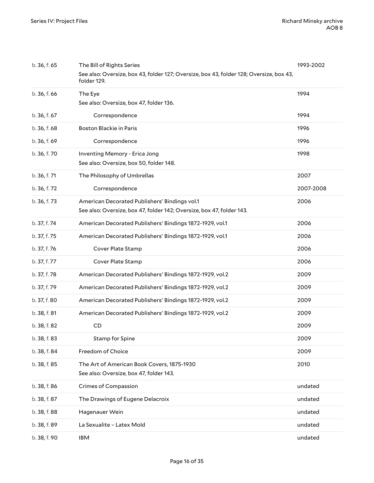| b. 36, f. 65 | The Bill of Rights Series                                                                              | 1993-2002 |
|--------------|--------------------------------------------------------------------------------------------------------|-----------|
|              | See also: Oversize, box 43, folder 127; Oversize, box 43, folder 128; Oversize, box 43,<br>folder 129. |           |
| b. 36, f. 66 | The Eye                                                                                                | 1994      |
|              | See also: Oversize, box 47, folder 136.                                                                |           |
| b. 36, f. 67 | Correspondence                                                                                         | 1994      |
| b. 36, f. 68 | Boston Blackie in Paris                                                                                | 1996      |
| b. 36, f. 69 | Correspondence                                                                                         | 1996      |
| b. 36, f. 70 | Inventing Memory - Erica Jong                                                                          | 1998      |
|              | See also: Oversize, box 50, folder 148.                                                                |           |
| b. 36, f. 71 | The Philosophy of Umbrellas                                                                            | 2007      |
| b. 36, f. 72 | Correspondence                                                                                         | 2007-2008 |
| b. 36, f. 73 | American Decorated Publishers' Bindings vol.1                                                          | 2006      |
|              | See also: Oversize, box 47, folder 142; Oversize, box 47, folder 143.                                  |           |
| b. 37, f. 74 | American Decorated Publishers' Bindings 1872-1929, vol.1                                               | 2006      |
| b. 37, f. 75 | American Decorated Publishers' Bindings 1872-1929, vol.1                                               | 2006      |
| b. 37, f. 76 | Cover Plate Stamp                                                                                      | 2006      |
| b. 37, f. 77 | Cover Plate Stamp                                                                                      | 2006      |
| b. 37, f. 78 | American Decorated Publishers' Bindings 1872-1929, vol.2                                               | 2009      |
| b. 37, f. 79 | American Decorated Publishers' Bindings 1872-1929, vol.2                                               | 2009      |
| b. 37, f. 80 | American Decorated Publishers' Bindings 1872-1929, vol.2                                               | 2009      |
| b. 38, f. 81 | American Decorated Publishers' Bindings 1872-1929, vol.2                                               | 2009      |
| b. 38, f. 82 | CD                                                                                                     | 2009      |
| b. 38, f. 83 | <b>Stamp for Spine</b>                                                                                 | 2009      |
| b. 38, f. 84 | Freedom of Choice                                                                                      | 2009      |
| b. 38, f. 85 | The Art of American Book Covers, 1875-1930                                                             | 2010      |
|              | See also: Oversize, box 47, folder 143.                                                                |           |
| b. 38, f. 86 | <b>Crimes of Compassion</b>                                                                            | undated   |
| b. 38, f. 87 | The Drawings of Eugene Delacroix                                                                       | undated   |
| b. 38, f. 88 | Hagenauer Wein                                                                                         | undated   |
| b. 38, f. 89 | La Sexualite - Latex Mold                                                                              | undated   |
| b. 38, f. 90 | IBM                                                                                                    | undated   |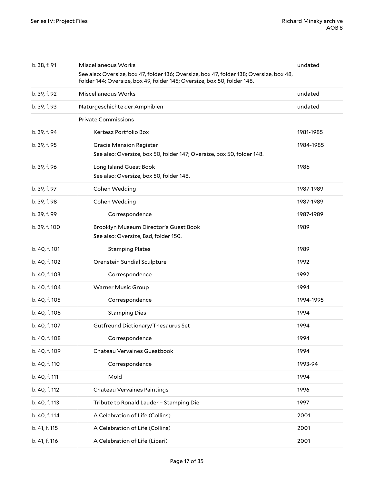| b. 38, f. 91  | Miscellaneous Works                                                                                                                                                | undated   |
|---------------|--------------------------------------------------------------------------------------------------------------------------------------------------------------------|-----------|
|               | See also: Oversize, box 47, folder 136; Oversize, box 47, folder 138; Oversize, box 48,<br>folder 144; Oversize, box 49, folder 145; Oversize, box 50, folder 148. |           |
| b. 39, f. 92  | Miscellaneous Works                                                                                                                                                | undated   |
| b. 39, f. 93  | Naturgeschichte der Amphibien                                                                                                                                      | undated   |
|               | <b>Private Commissions</b>                                                                                                                                         |           |
| b. 39, f. 94  | Kertesz Portfolio Box                                                                                                                                              | 1981-1985 |
| b. 39, f. 95  | <b>Gracie Mansion Register</b><br>See also: Oversize, box 50, folder 147; Oversize, box 50, folder 148.                                                            | 1984-1985 |
| b. 39, f. 96  | Long Island Guest Book<br>See also: Oversize, box 50, folder 148.                                                                                                  | 1986      |
| b. 39, f. 97  | Cohen Wedding                                                                                                                                                      | 1987-1989 |
| b. 39, f. 98  | Cohen Wedding                                                                                                                                                      | 1987-1989 |
| b. 39, f. 99  | Correspondence                                                                                                                                                     | 1987-1989 |
| b. 39, f. 100 | Brooklyn Museum Director's Guest Book<br>See also: Oversize, Bsd, folder 150.                                                                                      | 1989      |
| b. 40, f. 101 | <b>Stamping Plates</b>                                                                                                                                             | 1989      |
| b. 40, f. 102 | Orenstein Sundial Sculpture                                                                                                                                        | 1992      |
| b. 40, f. 103 | Correspondence                                                                                                                                                     | 1992      |
| b. 40, f. 104 | <b>Warner Music Group</b>                                                                                                                                          | 1994      |
| b. 40, f. 105 | Correspondence                                                                                                                                                     | 1994-1995 |
| b. 40, f. 106 | <b>Stamping Dies</b>                                                                                                                                               | 1994      |
| b. 40, f. 107 | Gutfreund Dictionary/Thesaurus Set                                                                                                                                 | 1994      |
| b. 40, f. 108 | Correspondence                                                                                                                                                     | 1994      |
| b. 40, f. 109 | Chateau Vervaines Guestbook                                                                                                                                        | 1994      |
| b. 40, f. 110 | Correspondence                                                                                                                                                     | 1993-94   |
| b. 40, f. 111 | Mold                                                                                                                                                               | 1994      |
| b. 40, f. 112 | Chateau Vervaines Paintings                                                                                                                                        | 1996      |
| b. 40, f. 113 | Tribute to Ronald Lauder - Stamping Die                                                                                                                            | 1997      |
| b. 40, f. 114 | A Celebration of Life (Collins)                                                                                                                                    | 2001      |
| b. 41, f. 115 | A Celebration of Life (Collins)                                                                                                                                    | 2001      |
| b. 41, f. 116 | A Celebration of Life (Lipari)                                                                                                                                     | 2001      |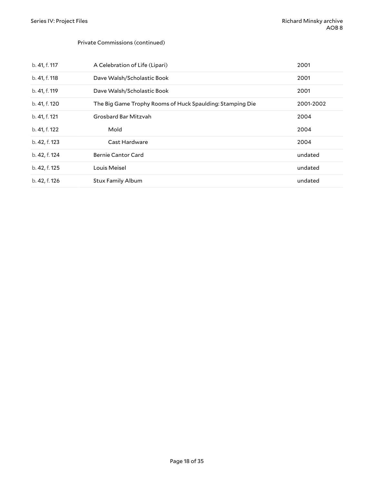#### Private Commissions (continued)

| b. 41, f. 117 | A Celebration of Life (Lipari)                            | 2001      |
|---------------|-----------------------------------------------------------|-----------|
| b. 41, f. 118 | Dave Walsh/Scholastic Book                                | 2001      |
| b. 41, f. 119 | Dave Walsh/Scholastic Book                                | 2001      |
| b. 41, f. 120 | The Big Game Trophy Rooms of Huck Spaulding: Stamping Die | 2001-2002 |
| b. 41, f. 121 | Grosbard Bar Mitzvah                                      | 2004      |
| b. 41, f. 122 | Mold                                                      | 2004      |
| b. 42, f. 123 | Cast Hardware                                             | 2004      |
| b. 42, f. 124 | <b>Bernie Cantor Card</b>                                 | undated   |
| b. 42, f. 125 | Louis Meisel                                              | undated   |
| b. 42, f. 126 | <b>Stux Family Album</b>                                  | undated   |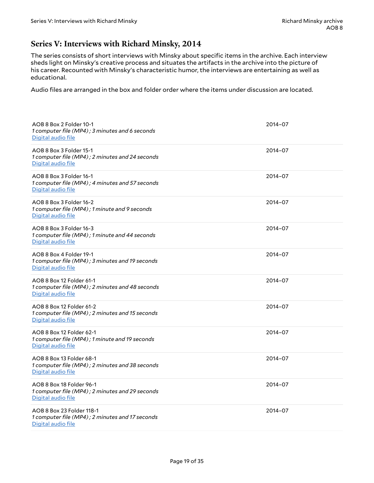### <span id="page-18-0"></span>**Series V: Interviews with Richard Minsky, 2014**

The series consists of short interviews with Minsky about specific items in the archive. Each interview sheds light on Minsky's creative process and situates the artifacts in the archive into the picture of his career. Recounted with Minsky's characteristic humor, the interviews are entertaining as well as educational.

Audio files are arranged in the box and folder order where the items under discussion are located.

<span id="page-18-12"></span><span id="page-18-11"></span><span id="page-18-10"></span><span id="page-18-9"></span><span id="page-18-8"></span><span id="page-18-7"></span><span id="page-18-6"></span><span id="page-18-5"></span><span id="page-18-4"></span><span id="page-18-3"></span><span id="page-18-2"></span><span id="page-18-1"></span>

| AOB 8 Box 2 Folder 10-1<br>1 computer file (MP4); 3 minutes and 6 seconds<br>Digital audio file    | 2014-07 |
|----------------------------------------------------------------------------------------------------|---------|
| AOB 8 Box 3 Folder 15-1<br>1 computer file (MP4); 2 minutes and 24 seconds<br>Digital audio file   | 2014-07 |
| AOB 8 Box 3 Folder 16-1<br>1 computer file (MP4); 4 minutes and 57 seconds<br>Digital audio file   | 2014-07 |
| AOB 8 Box 3 Folder 16-2<br>1 computer file (MP4); 1 minute and 9 seconds<br>Digital audio file     | 2014-07 |
| AOB 8 Box 3 Folder 16-3<br>1 computer file (MP4); 1 minute and 44 seconds<br>Digital audio file    | 2014-07 |
| AOB 8 Box 4 Folder 19-1<br>1 computer file (MP4); 3 minutes and 19 seconds<br>Digital audio file   | 2014-07 |
| AOB 8 Box 12 Folder 61-1<br>1 computer file (MP4); 2 minutes and 48 seconds<br>Digital audio file  | 2014-07 |
| AOB 8 Box 12 Folder 61-2<br>1 computer file (MP4); 2 minutes and 15 seconds<br>Digital audio file  | 2014-07 |
| AOB 8 Box 12 Folder 62-1<br>1 computer file (MP4); 1 minute and 19 seconds<br>Digital audio file   | 2014-07 |
| AOB 8 Box 13 Folder 68-1<br>1 computer file (MP4); 2 minutes and 38 seconds<br>Digital audio file  | 2014-07 |
| AOB 8 Box 18 Folder 96-1<br>1 computer file (MP4); 2 minutes and 29 seconds<br>Digital audio file  | 2014-07 |
| AOB 8 Box 23 Folder 118-1<br>1 computer file (MP4); 2 minutes and 17 seconds<br>Digital audio file | 2014-07 |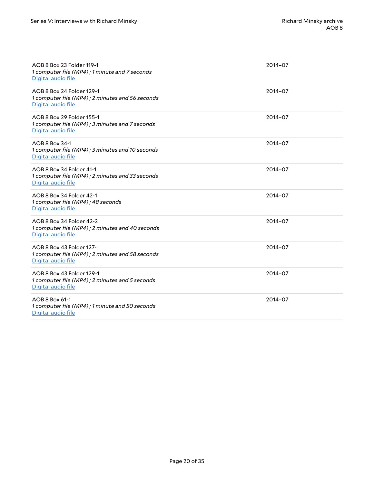<span id="page-19-9"></span><span id="page-19-8"></span><span id="page-19-7"></span><span id="page-19-6"></span><span id="page-19-5"></span><span id="page-19-4"></span><span id="page-19-3"></span><span id="page-19-2"></span><span id="page-19-1"></span><span id="page-19-0"></span>

| AOB 8 Box 23 Folder 119-1<br>1 computer file (MP4); 1 minute and 7 seconds<br>Digital audio file   | 2014-07 |
|----------------------------------------------------------------------------------------------------|---------|
| AOB 8 Box 24 Folder 129-1<br>1 computer file (MP4); 2 minutes and 56 seconds<br>Digital audio file | 2014-07 |
| AOB 8 Box 29 Folder 155-1<br>1 computer file (MP4); 3 minutes and 7 seconds<br>Digital audio file  | 2014-07 |
| AOB 8 Box 34-1<br>1 computer file (MP4); 3 minutes and 10 seconds<br>Digital audio file            | 2014-07 |
| AOB 8 Box 34 Folder 41-1<br>1 computer file (MP4); 2 minutes and 33 seconds<br>Digital audio file  | 2014-07 |
| AOB 8 Box 34 Folder 42-1<br>1 computer file (MP4); 48 seconds<br>Digital audio file                | 2014-07 |
| AOB 8 Box 34 Folder 42-2<br>1 computer file (MP4); 2 minutes and 40 seconds<br>Digital audio file  | 2014-07 |
| AOB 8 Box 43 Folder 127-1<br>1 computer file (MP4); 2 minutes and 58 seconds<br>Digital audio file | 2014-07 |
| AOB 8 Box 43 Folder 129-1<br>1 computer file (MP4); 2 minutes and 5 seconds<br>Digital audio file  | 2014-07 |
| AOB 8 Box 61-1<br>1 computer file (MP4); 1 minute and 50 seconds<br>Digital audio file             | 2014-07 |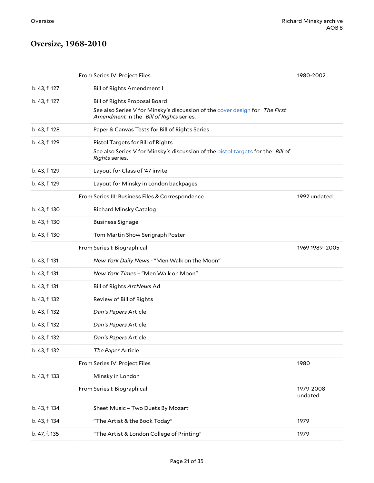# <span id="page-20-0"></span>**Oversize, 1968-2010**

|               | From Series IV: Project Files                                                                                          | 1980-2002            |
|---------------|------------------------------------------------------------------------------------------------------------------------|----------------------|
| b. 43, f. 127 | <b>Bill of Rights Amendment I</b>                                                                                      |                      |
| b. 43, f. 127 | <b>Bill of Rights Proposal Board</b>                                                                                   |                      |
|               | See also Series V for Minsky's discussion of the cover design for The First<br>Amendment in the Bill of Rights series. |                      |
| b. 43, f. 128 | Paper & Canvas Tests for Bill of Rights Series                                                                         |                      |
| b. 43, f. 129 | Pistol Targets for Bill of Rights                                                                                      |                      |
|               | See also Series V for Minsky's discussion of the pistol targets for the Bill of<br>Rights series.                      |                      |
| b. 43, f. 129 | Layout for Class of '47 invite                                                                                         |                      |
| b. 43, f. 129 | Layout for Minsky in London backpages                                                                                  |                      |
|               | From Series III: Business Files & Correspondence                                                                       | 1992 undated         |
| b. 43, f. 130 | <b>Richard Minsky Catalog</b>                                                                                          |                      |
| b. 43, f. 130 | <b>Business Signage</b>                                                                                                |                      |
| b. 43, f. 130 | Tom Martin Show Serigraph Poster                                                                                       |                      |
|               | From Series I: Biographical                                                                                            | 1969 1989-2005       |
| b. 43, f. 131 | New York Daily News - "Men Walk on the Moon"                                                                           |                      |
| b. 43, f. 131 | New York Times - "Men Walk on Moon"                                                                                    |                      |
| b. 43, f. 131 | Bill of Rights ArtNews Ad                                                                                              |                      |
| b. 43, f. 132 | Review of Bill of Rights                                                                                               |                      |
| b. 43, f. 132 | Dan's Papers Article                                                                                                   |                      |
| b. 43, f. 132 | Dan's Papers Article                                                                                                   |                      |
| b. 43, f. 132 | Dan's Papers Article                                                                                                   |                      |
| b. 43, f. 132 | The Paper Article                                                                                                      |                      |
|               | From Series IV: Project Files                                                                                          | 1980                 |
| b. 43, f. 133 | Minsky in London                                                                                                       |                      |
|               | From Series I: Biographical                                                                                            | 1979-2008<br>undated |
| b. 43, f. 134 | Sheet Music - Two Duets By Mozart                                                                                      |                      |
| b. 43, f. 134 | "The Artist & the Book Today"                                                                                          | 1979                 |
| b. 47, f. 135 | "The Artist & London College of Printing"                                                                              | 1979                 |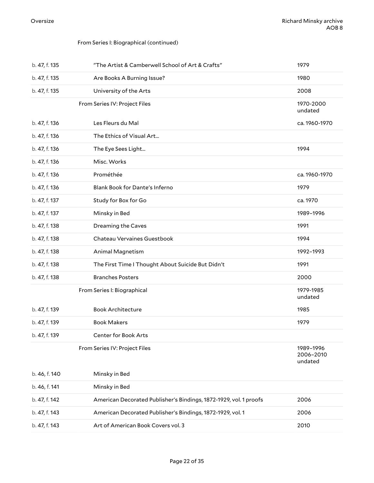#### From Series I: Biographical (continued)

| b. 47, f. 135 | "The Artist & Camberwell School of Art & Crafts"                  | 1979                              |
|---------------|-------------------------------------------------------------------|-----------------------------------|
| b. 47, f. 135 | Are Books A Burning Issue?                                        | 1980                              |
| b. 47, f. 135 | University of the Arts                                            | 2008                              |
|               | From Series IV: Project Files                                     | 1970-2000<br>undated              |
| b. 47, f. 136 | Les Fleurs du Mal                                                 | ca. 1960-1970                     |
| b. 47, f. 136 | The Ethics of Visual Art                                          |                                   |
| b. 47, f. 136 | The Eye Sees Light                                                | 1994                              |
| b. 47, f. 136 | Misc. Works                                                       |                                   |
| b. 47, f. 136 | Prométhée                                                         | ca. 1960-1970                     |
| b. 47, f. 136 | Blank Book for Dante's Inferno                                    | 1979                              |
| b. 47, f. 137 | Study for Box for Go                                              | ca. 1970                          |
| b. 47, f. 137 | Minsky in Bed                                                     | 1989-1996                         |
| b. 47, f. 138 | Dreaming the Caves                                                | 1991                              |
| b. 47, f. 138 | Chateau Vervaines Guestbook                                       | 1994                              |
| b. 47, f. 138 | Animal Magnetism                                                  | 1992-1993                         |
| b. 47, f. 138 | The First Time I Thought About Suicide But Didn't                 | 1991                              |
| b. 47, f. 138 | <b>Branches Posters</b>                                           | 2000                              |
|               | From Series I: Biographical                                       | 1979-1985<br>undated              |
| b. 47, f. 139 | <b>Book Architecture</b>                                          | 1985                              |
| b. 47, f. 139 | <b>Book Makers</b>                                                | 1979                              |
| b. 47, f. 139 | Center for Book Arts                                              |                                   |
|               | From Series IV: Project Files                                     | 1989-1996<br>2006-2010<br>undated |
| b. 46, f. 140 | Minsky in Bed                                                     |                                   |
| b. 46, f. 141 | Minsky in Bed                                                     |                                   |
| b. 47, f. 142 | American Decorated Publisher's Bindings, 1872-1929, vol. 1 proofs | 2006                              |
| b. 47, f. 143 | American Decorated Publisher's Bindings, 1872-1929, vol. 1        | 2006                              |
|               |                                                                   |                                   |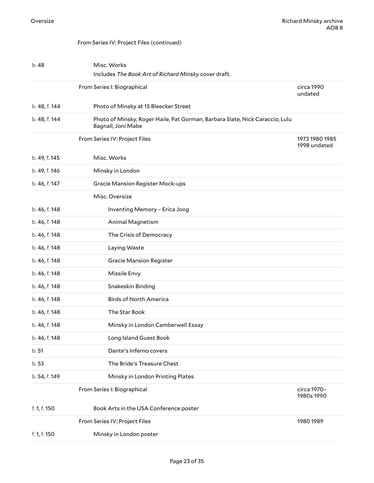#### From Series IV: Project Files (continued)

| b. 48         | Misc. Works<br>Includes The Book Art of Richard Minsky cover draft.                                |                                |
|---------------|----------------------------------------------------------------------------------------------------|--------------------------------|
|               | From Series I: Biographical                                                                        | circa 1990<br>undated          |
| b. 48, f. 144 | Photo of Minsky at 15 Bleecker Street                                                              |                                |
| b. 48, f. 144 | Photo of Minsky, Roger Haile, Pat Gorman, Barbara Slate, Nick Caraccio, Lulu<br>Bagnall, Joni Mabe |                                |
|               | From Series IV: Project Files                                                                      | 1973 1980 1985<br>1998 undated |
| b. 49, f. 145 | Misc. Works                                                                                        |                                |
| b. 49, f. 146 | Minsky in London                                                                                   |                                |
| b. 46, f. 147 | <b>Gracie Mansion Register Mock-ups</b>                                                            |                                |
|               | Misc. Oversize                                                                                     |                                |
| b. 46, f. 148 | Inventing Memory - Erica Jong                                                                      |                                |
| b. 46, f. 148 | Animal Magnetism                                                                                   |                                |
| b. 46, f. 148 | The Crisis of Democracy                                                                            |                                |
| b. 46, f. 148 | Laying Waste                                                                                       |                                |
| b. 46, f. 148 | <b>Gracie Mansion Register</b>                                                                     |                                |
| b. 46, f. 148 | Missile Envy                                                                                       |                                |
| b. 46, f. 148 | Snakeskin Binding                                                                                  |                                |
| b. 46, f. 148 | <b>Birds of North America</b>                                                                      |                                |
| b. 46, f. 148 | The Star Book                                                                                      |                                |
| b. 46, f. 148 | Minsky in London Camberwell Essay                                                                  |                                |
| b. 46, f. 148 | Long Island Guest Book                                                                             |                                |
| b. 51         | Dante's Inferno covers                                                                             |                                |
| b.53          | The Bride's Treasure Chest                                                                         |                                |
| b. 54, f. 149 | Minsky in London Printing Plates                                                                   |                                |
|               | From Series I: Biographical                                                                        | circa 1970-<br>1980s 1990      |
| f. 1, f. 150  | Book Arts in the USA Conference poster                                                             |                                |
|               | From Series IV: Project Files                                                                      | 1980 1989                      |
| f. 1, f. 150  | Minsky in London poster                                                                            |                                |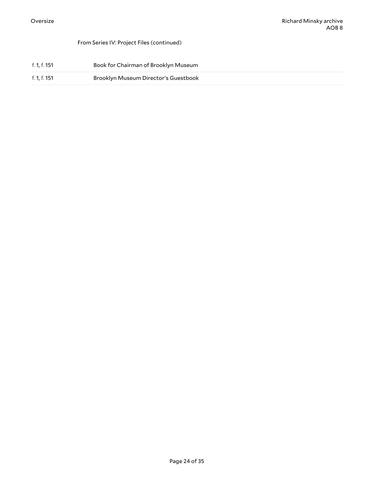#### From Series IV: Project Files (continued)

| f. 1, f. 151 | Book for Chairman of Brooklyn Museum |
|--------------|--------------------------------------|
| f. 1, f. 151 | Brooklyn Museum Director's Guestbook |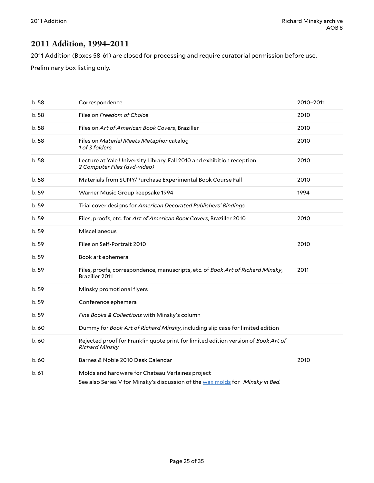### <span id="page-24-0"></span>**2011 Addition, 1994-2011**

2011 Addition (Boxes 58-61) are closed for processing and require curatorial permission before use.

Preliminary box listing only.

| b.58  | Correspondence                                                                                                                    | 2010-2011 |
|-------|-----------------------------------------------------------------------------------------------------------------------------------|-----------|
| b.58  | Files on Freedom of Choice                                                                                                        | 2010      |
| b.58  | Files on Art of American Book Covers, Braziller                                                                                   | 2010      |
| b.58  | Files on Material Meets Metaphor catalog<br>1 of 3 folders.                                                                       | 2010      |
| b.58  | Lecture at Yale University Library, Fall 2010 and exhibition reception<br>2 Computer Files (dvd-video)                            | 2010      |
| b.58  | Materials from SUNY/Purchase Experimental Book Course Fall                                                                        | 2010      |
| b.59  | Warner Music Group keepsake 1994                                                                                                  | 1994      |
| b.59  | Trial cover designs for American Decorated Publishers' Bindings                                                                   |           |
| b. 59 | Files, proofs, etc. for Art of American Book Covers, Braziller 2010                                                               | 2010      |
| b. 59 | Miscellaneous                                                                                                                     |           |
| b.59  | Files on Self-Portrait 2010                                                                                                       | 2010      |
| b.59  | Book art ephemera                                                                                                                 |           |
| b. 59 | Files, proofs, correspondence, manuscripts, etc. of Book Art of Richard Minsky,<br><b>Braziller 2011</b>                          | 2011      |
| b.59  | Minsky promotional flyers                                                                                                         |           |
| b. 59 | Conference ephemera                                                                                                               |           |
| b.59  | Fine Books & Collections with Minsky's column                                                                                     |           |
| b.60  | Dummy for Book Art of Richard Minsky, including slip case for limited edition                                                     |           |
| b.60  | Rejected proof for Franklin quote print for limited edition version of Book Art of<br><b>Richard Minsky</b>                       |           |
| b.60  | Barnes & Noble 2010 Desk Calendar                                                                                                 | 2010      |
| b. 61 | Molds and hardware for Chateau Verlaines project<br>See also Series V for Minsky's discussion of the wax molds for Minsky in Bed. |           |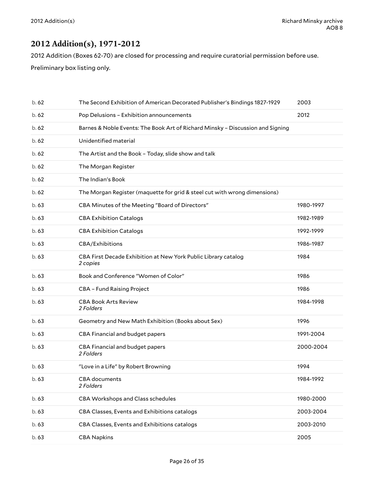### <span id="page-25-0"></span>**2012 Addition(s), 1971-2012**

2012 Addition (Boxes 62-70) are closed for processing and require curatorial permission before use. Preliminary box listing only.

| b.62  | The Second Exhibition of American Decorated Publisher's Bindings 1827-1929     | 2003      |
|-------|--------------------------------------------------------------------------------|-----------|
| b.62  | Pop Delusions - Exhibition announcements                                       | 2012      |
| b.62  | Barnes & Noble Events: The Book Art of Richard Minsky - Discussion and Signing |           |
| b.62  | Unidentified material                                                          |           |
| b.62  | The Artist and the Book - Today, slide show and talk                           |           |
| b.62  | The Morgan Register                                                            |           |
| b.62  | The Indian's Book                                                              |           |
| b.62  | The Morgan Register (maquette for grid & steel cut with wrong dimensions)      |           |
| b.63  | CBA Minutes of the Meeting "Board of Directors"                                | 1980-1997 |
| b.63  | <b>CBA Exhibition Catalogs</b>                                                 | 1982-1989 |
| b.63  | <b>CBA Exhibition Catalogs</b>                                                 | 1992-1999 |
| b.63  | CBA/Exhibitions                                                                | 1986-1987 |
| b.63  | CBA First Decade Exhibition at New York Public Library catalog<br>2 copies     | 1984      |
| b.63  | Book and Conference "Women of Color"                                           | 1986      |
| b.63  | <b>CBA - Fund Raising Project</b>                                              | 1986      |
| b.63  | <b>CBA Book Arts Review</b><br>2 Folders                                       | 1984-1998 |
| b.63  | Geometry and New Math Exhibition (Books about Sex)                             | 1996      |
| b.63  | CBA Financial and budget papers                                                | 1991-2004 |
| b.63  | CBA Financial and budget papers<br>2 Folders                                   | 2000-2004 |
| b.63  | "Love in a Life" by Robert Browning                                            | 1994      |
| b. 63 | CBA documents<br>2 Folders                                                     | 1984-1992 |
| b.63  | CBA Workshops and Class schedules                                              | 1980-2000 |
| b. 63 | CBA Classes, Events and Exhibitions catalogs                                   | 2003-2004 |
| b. 63 | CBA Classes, Events and Exhibitions catalogs                                   | 2003-2010 |
| b. 63 | <b>CBA Napkins</b>                                                             | 2005      |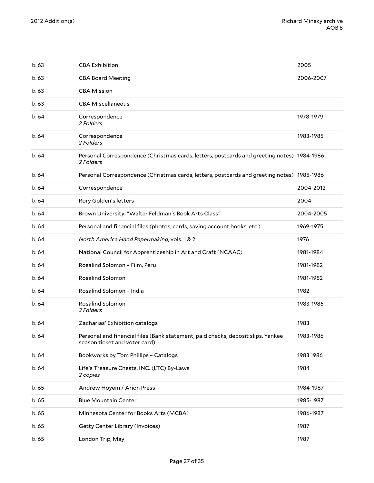| b.63  | <b>CBA Exhibition</b>                                                                                             | 2005      |
|-------|-------------------------------------------------------------------------------------------------------------------|-----------|
| b.63  | <b>CBA Board Meeting</b>                                                                                          | 2006-2007 |
| b.63  | <b>CBA Mission</b>                                                                                                |           |
| b.63  | <b>CBA Miscellaneous</b>                                                                                          |           |
| b.64  | Correspondence<br>2 Folders                                                                                       | 1978-1979 |
| b. 64 | Correspondence<br>2 Folders                                                                                       | 1983-1985 |
| b. 64 | Personal Correspondence (Christmas cards, letters, postcards and greeting notes) 1984-1986<br>2 Folders           |           |
| b.64  | Personal Correspondence (Christmas cards, letters, postcards and greeting notes) 1985-1986                        |           |
| b.64  | Correspondence                                                                                                    | 2004-2012 |
| b.64  | Rory Golden's letters                                                                                             | 2004      |
| b. 64 | Brown University: "Walter Feldman's Book Arts Class"                                                              | 2004-2005 |
| b.64  | Personal and financial files (photos, cards, saving account books, etc.)                                          | 1969-1975 |
| b.64  | North America Hand Papermaking, vols. 1 & 2                                                                       | 1976      |
| b.64  | National Council for Apprenticeship in Art and Craft (NCAAC)                                                      | 1981-1984 |
| b. 64 | Rosalind Solomon - Film, Peru                                                                                     | 1981-1982 |
| b.64  | <b>Rosalind Solomon</b>                                                                                           | 1981-1982 |
| b.64  | Rosalind Solomon - India                                                                                          | 1982      |
| b.64  | <b>Rosalind Solomon</b><br>3 Folders                                                                              | 1983-1986 |
| b.64  | Zacharias' Exhibition catalogs                                                                                    | 1983      |
| b.64  | Personal and financial files (Bank statement, paid checks, deposit slips, Yankee<br>season ticket and voter card) | 1983-1986 |
| b.64  | Bookworks by Tom Phillips - Catalogs                                                                              | 1983 1986 |
| b. 64 | Life's Treasure Chests, INC. (LTC) By-Laws<br>2 copies                                                            | 1984      |
| b. 65 | Andrew Hoyem / Arion Press                                                                                        | 1984-1987 |
| b.65  | <b>Blue Mountain Center</b>                                                                                       | 1985-1987 |
| b. 65 | Minnesota Center for Books Arts (MCBA)                                                                            | 1986-1987 |
| b.65  | Getty Center Library (Invoices)                                                                                   | 1987      |
| b. 65 | London Trip, May                                                                                                  | 1987      |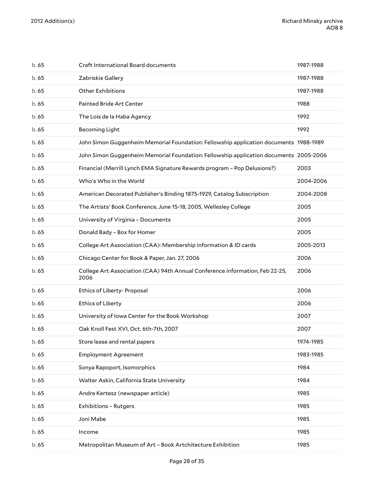| b.65  | Craft International Board documents                                                   | 1987-1988 |
|-------|---------------------------------------------------------------------------------------|-----------|
| b.65  | Zabriskie Gallery                                                                     | 1987-1988 |
| b.65  | <b>Other Exhibitions</b>                                                              | 1987-1988 |
| b. 65 | Painted Bride Art Center                                                              | 1988      |
| b.65  | The Lois de la Haba Agency                                                            | 1992      |
| b. 65 | <b>Becoming Light</b>                                                                 | 1992      |
| b.65  | John Simon Guggenheim Memorial Foundation: Fellowship application documents 1988-1989 |           |
| b. 65 | John Simon Guggenheim Memorial Foundation: Fellowship application documents 2005-2006 |           |
| b.65  | Financial (Merrill Lynch EMA Signature Rewards program - Pop Delusions?)              | 2003      |
| b.65  | Who's Who in the World                                                                | 2004-2006 |
| b.65  | American Decorated Publisher's Binding 1875-1929, Catalog Subscription                | 2004-2008 |
| b.65  | The Artists' Book Conference, June 15-18, 2005, Wellesley College                     | 2005      |
| b.65  | University of Virginia - Documents                                                    | 2005      |
| b.65  | Donald Bady - Box for Homer                                                           | 2005      |
| b.65  | College Art Association (CAA): Membership information & ID cards                      | 2005-2013 |
| b.65  | Chicago Center for Book & Paper, Jan. 27, 2006                                        | 2006      |
| b.65  | College Art Association (CAA) 94th Annual Conference information, Feb 22-25,<br>2006  | 2006      |
| b. 65 | Ethics of Liberty- Proposal                                                           | 2006      |
| b. 65 | <b>Ethics of Liberty</b>                                                              | 2006      |
| b. 65 | University of Iowa Center for the Book Workshop                                       | 2007      |
| b.65  | Oak Knoll Fest XVI, Oct. 6th-7th, 2007                                                | 2007      |
| b. 65 | Store lease and rental papers                                                         | 1974-1985 |
| b. 65 | <b>Employment Agreement</b>                                                           | 1983-1985 |
| b. 65 | Sonya Rapoport, Isomorphics                                                           | 1984      |
| b. 65 | Walter Askin, California State University                                             | 1984      |
| b. 65 | Andre Kertesz (newspaper article)                                                     | 1985      |
| b. 65 | <b>Exhibitions - Rutgers</b>                                                          | 1985      |
| b. 65 | Joni Mabe                                                                             | 1985      |
| b.65  | Income                                                                                | 1985      |
| b. 65 | Metropolitan Museum of Art - Book Artchitecture Exhibition                            | 1985      |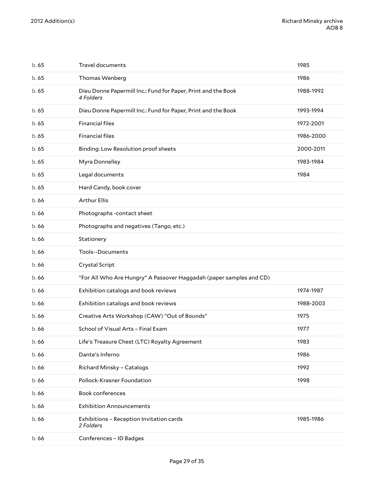| b.65  | Travel documents                                                           | 1985      |
|-------|----------------------------------------------------------------------------|-----------|
| b.65  | Thomas Wenberg                                                             | 1986      |
| b.65  | Dieu Donne Papermill Inc.: Fund for Paper, Print and the Book<br>4 Folders | 1988-1992 |
| b.65  | Dieu Donne Papermill Inc.: Fund for Paper, Print and the Book              | 1993-1994 |
| b.65  | <b>Financial files</b>                                                     | 1972-2001 |
| b.65  | <b>Financial files</b>                                                     | 1986-2000 |
| b.65  | Binding: Low Resolution proof sheets                                       | 2000-2011 |
| b.65  | Myra Donnelley                                                             | 1983-1984 |
| b.65  | Legal documents                                                            | 1984      |
| b.65  | Hard Candy, book cover                                                     |           |
| b.66  | <b>Arthur Ellis</b>                                                        |           |
| b.66  | Photographs -contact sheet                                                 |           |
| b.66  | Photographs and negatives (Tango, etc.)                                    |           |
| b.66  | Stationery                                                                 |           |
| b.66  | <b>Tools--Documents</b>                                                    |           |
| b.66  | Crystal Script                                                             |           |
| b.66  | "For All Who Are Hungry" A Passover Haggadah (paper samples and CD)        |           |
| b.66  | Exhibition catalogs and book reviews                                       | 1974-1987 |
| b.66  | Exhibition catalogs and book reviews                                       | 1988-2003 |
| b.66  | Creative Arts Workshop (CAW) "Out of Bounds"                               | 1975      |
| b.66  | School of Visual Arts - Final Exam                                         | 1977      |
| b.66  | Life's Treasure Chest (LTC) Royalty Agreement                              | 1983      |
| b. 66 | Dante's Inferno                                                            | 1986      |
| b.66  | Richard Minsky - Catalogs                                                  | 1992      |
| b. 66 | Pollock-Krasner Foundation                                                 | 1998      |
| b. 66 | Book conferences                                                           |           |
| b.66  | <b>Exhibition Announcements</b>                                            |           |
| b.66  | Exhibitions - Reception Invitation cards<br>2 Folders                      | 1985-1986 |
| b. 66 | Conferences - ID Badges                                                    |           |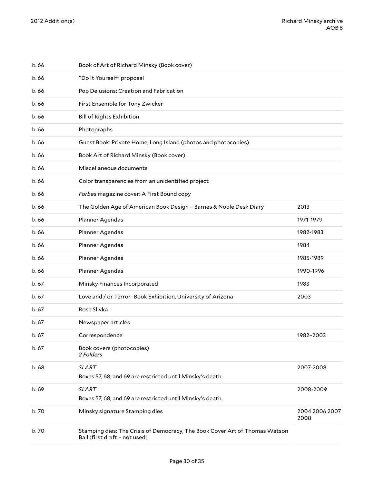| b.66  | Book of Art of Richard Minsky (Book cover)                                                                   |                        |
|-------|--------------------------------------------------------------------------------------------------------------|------------------------|
| b.66  | "Do It Yourself" proposal                                                                                    |                        |
| b. 66 | Pop Delusions: Creation and Fabrication                                                                      |                        |
| b. 66 | First Ensemble for Tony Zwicker                                                                              |                        |
| b. 66 | <b>Bill of Rights Exhibition</b>                                                                             |                        |
| b.66  | Photographs                                                                                                  |                        |
| b. 66 | Guest Book: Private Home, Long Island (photos and photocopies)                                               |                        |
| b. 66 | Book Art of Richard Minsky (Book cover)                                                                      |                        |
| b. 66 | Miscellaneous documents                                                                                      |                        |
| b. 66 | Color transparencies from an unidentified project                                                            |                        |
| b.66  | Forbes magazine cover: A First Bound copy                                                                    |                        |
| b. 66 | The Golden Age of American Book Design - Barnes & Noble Desk Diary                                           | 2013                   |
| b. 66 | Planner Agendas                                                                                              | 1971-1979              |
| b. 66 | Planner Agendas                                                                                              | 1982-1983              |
| b.66  | Planner Agendas                                                                                              | 1984                   |
| b. 66 | Planner Agendas                                                                                              | 1985-1989              |
| b. 66 | Planner Agendas                                                                                              | 1990-1996              |
| b.67  | Minsky Finances Incorporated                                                                                 | 1983                   |
| b.67  | Love and / or Terror- Book Exhibition, University of Arizona                                                 | 2003                   |
| b.67  | Rose Slivka                                                                                                  |                        |
| b. 67 | Newspaper articles                                                                                           |                        |
| b. 67 | Correspondence                                                                                               | 1982-2003              |
| b. 67 | Book covers (photocopies)<br>2 Folders                                                                       |                        |
| b. 68 | <b>SLART</b><br>Boxes 57, 68, and 69 are restricted until Minsky's death.                                    | 2007-2008              |
| b. 69 | <b>SLART</b><br>Boxes 57, 68, and 69 are restricted until Minsky's death.                                    | 2008-2009              |
| b.70  | Minsky signature Stamping dies                                                                               | 2004 2006 2007<br>2008 |
| b. 70 | Stamping dies: The Crisis of Democracy, The Book Cover Art of Thomas Watson<br>Ball (first draft - not used) |                        |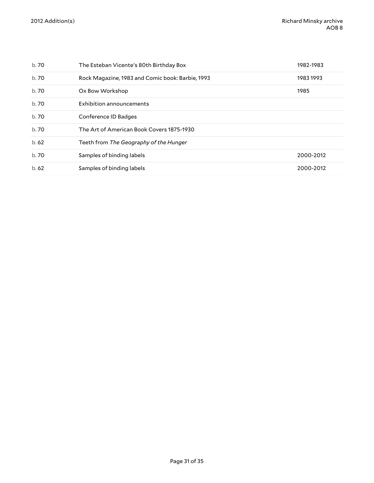| b. 70 | The Esteban Vicente's 80th Birthday Box          | 1982-1983 |
|-------|--------------------------------------------------|-----------|
| b. 70 | Rock Magazine, 1983 and Comic book: Barbie, 1993 | 1983 1993 |
| b. 70 | Ox Bow Workshop                                  | 1985      |
| b. 70 | Exhibition announcements                         |           |
| b. 70 | Conference ID Badges                             |           |
| b. 70 | The Art of American Book Covers 1875-1930        |           |
| b.62  | Teeth from The Geography of the Hunger           |           |
| b. 70 | Samples of binding labels                        | 2000-2012 |
| b.62  | Samples of binding labels                        | 2000-2012 |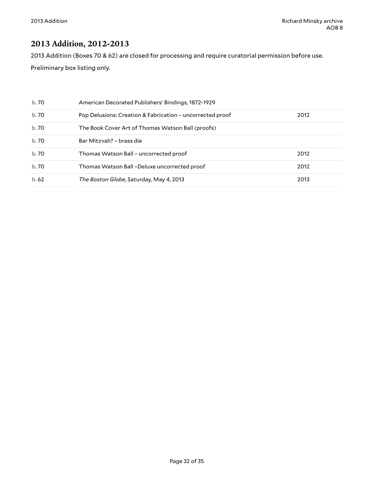### <span id="page-31-0"></span>**2013 Addition, 2012-2013**

2013 Addition (Boxes 70 & 62) are closed for processing and require curatorial permission before use.

Preliminary box listing only.

| b. 70 | American Decorated Publishers' Bindings, 1872-1929        |      |
|-------|-----------------------------------------------------------|------|
| b. 70 | Pop Delusions: Creation & Fabrication - uncorrected proof | 2012 |
| b.70  | The Book Cover Art of Thomas Watson Ball (proofs)         |      |
| b.70  | Bar Mitzvah? - brass die                                  |      |
| b.70  | Thomas Watson Ball - uncorrected proof                    | 2012 |
| b.70  | Thomas Watson Ball-Deluxe uncorrected proof               | 2012 |
| b.62  | The Boston Globe, Saturday, May 4, 2013                   | 2013 |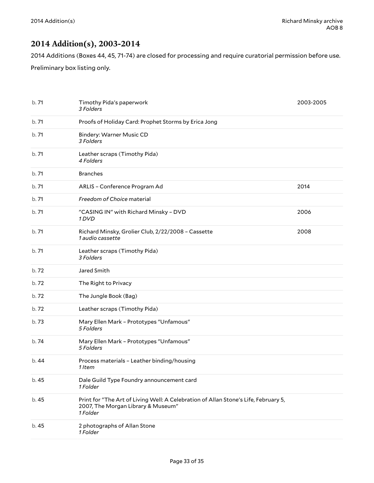### <span id="page-32-0"></span>**2014 Addition(s), 2003-2014**

2014 Additions (Boxes 44, 45, 71-74) are closed for processing and require curatorial permission before use.

Preliminary box listing only.

| b. 71 | Timothy Pida's paperwork<br>3 Folders                                                                                                 | 2003-2005 |
|-------|---------------------------------------------------------------------------------------------------------------------------------------|-----------|
| b.71  | Proofs of Holiday Card: Prophet Storms by Erica Jong                                                                                  |           |
| b.71  | <b>Bindery: Warner Music CD</b><br>3 Folders                                                                                          |           |
| b.71  | Leather scraps (Timothy Pida)<br>4 Folders                                                                                            |           |
| b.71  | <b>Branches</b>                                                                                                                       |           |
| b.71  | ARLIS - Conference Program Ad                                                                                                         | 2014      |
| b.71  | Freedom of Choice material                                                                                                            |           |
| b.71  | "CASING IN" with Richard Minsky - DVD<br>1 DVD                                                                                        | 2006      |
| b.71  | Richard Minsky, Grolier Club, 2/22/2008 - Cassette<br>1 audio cassette                                                                | 2008      |
| b.71  | Leather scraps (Timothy Pida)<br>3 Folders                                                                                            |           |
| b.72  | Jared Smith                                                                                                                           |           |
| b.72  | The Right to Privacy                                                                                                                  |           |
| b.72  | The Jungle Book (Bag)                                                                                                                 |           |
| b.72  | Leather scraps (Timothy Pida)                                                                                                         |           |
| b.73  | Mary Ellen Mark - Prototypes "Unfamous"<br>5 Folders                                                                                  |           |
| b.74  | Mary Ellen Mark - Prototypes "Unfamous"<br>5 Folders                                                                                  |           |
| b.44  | Process materials - Leather binding/housing<br>1 Item                                                                                 |           |
| b. 45 | Dale Guild Type Foundry announcement card<br>1 Folder                                                                                 |           |
| b. 45 | Print for "The Art of Living Well: A Celebration of Allan Stone's Life, February 5,<br>2007, The Morgan Library & Museum"<br>1 Folder |           |
| b. 45 | 2 photographs of Allan Stone<br>1 Folder                                                                                              |           |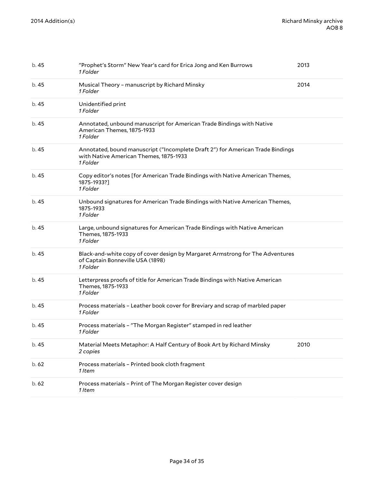| b. 45 | "Prophet's Storm" New Year's card for Erica Jong and Ken Burrows<br>1 Folder                                                         | 2013 |
|-------|--------------------------------------------------------------------------------------------------------------------------------------|------|
| b. 45 | Musical Theory - manuscript by Richard Minsky<br>1 Folder                                                                            | 2014 |
| b. 45 | Unidentified print<br>1 Folder                                                                                                       |      |
| b. 45 | Annotated, unbound manuscript for American Trade Bindings with Native<br>American Themes, 1875-1933<br>1 Folder                      |      |
| b. 45 | Annotated, bound manuscript ("Incomplete Draft 2") for American Trade Bindings<br>with Native American Themes, 1875-1933<br>1 Folder |      |
| b. 45 | Copy editor's notes [for American Trade Bindings with Native American Themes,<br>1875-1933?]<br>1 Folder                             |      |
| b. 45 | Unbound signatures for American Trade Bindings with Native American Themes,<br>1875-1933<br>1 Folder                                 |      |
| b. 45 | Large, unbound signatures for American Trade Bindings with Native American<br>Themes, 1875-1933<br>1 Folder                          |      |
| b. 45 | Black-and-white copy of cover design by Margaret Armstrong for The Adventures<br>of Captain Bonneville USA (1898)<br>1 Folder        |      |
| b. 45 | Letterpress proofs of title for American Trade Bindings with Native American<br>Themes, 1875-1933<br>1 Folder                        |      |
| b. 45 | Process materials - Leather book cover for Breviary and scrap of marbled paper<br>1 Folder                                           |      |
| b. 45 | Process materials - "The Morgan Register" stamped in red leather<br>1 Folder                                                         |      |
| b. 45 | Material Meets Metaphor: A Half Century of Book Art by Richard Minsky<br>2 copies                                                    | 2010 |
| b.62  | Process materials - Printed book cloth fragment<br>1 Item                                                                            |      |
| b.62  | Process materials - Print of The Morgan Register cover design<br>1 Item                                                              |      |